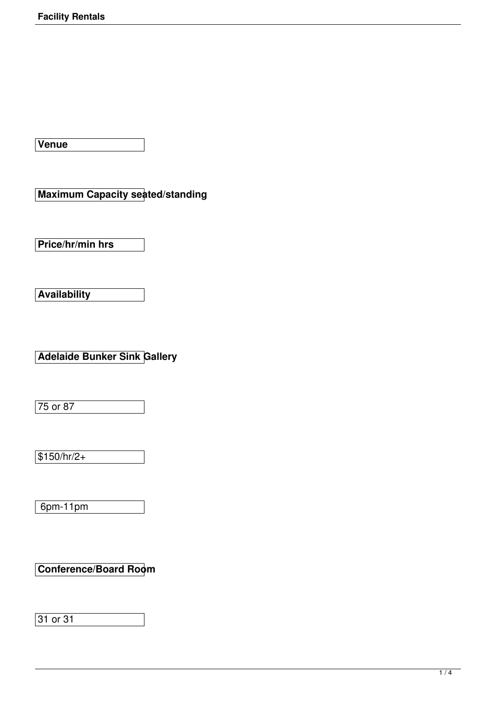**Venue**

**Maximum Capacity seated/standing**

**Price/hr/min hrs**

**Availability**

**Adelaide Bunker Sink Gallery**

 $75$  or 87

 $$150/hr/2+$ 

6pm-11pm

**Conference/Board Room**

31 or 31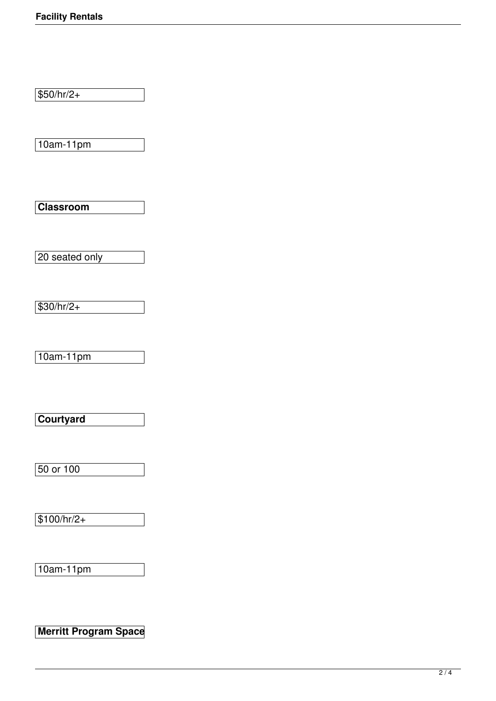$$50/hr/2+$ 

10am-11pm

**Classroom**

20 seated only

 $$30/hr/2+$ 

10am-11pm

**Courtyard**

50 or 100

 $$100/hr/2+$ 

10am-11pm

**Merritt Program Space**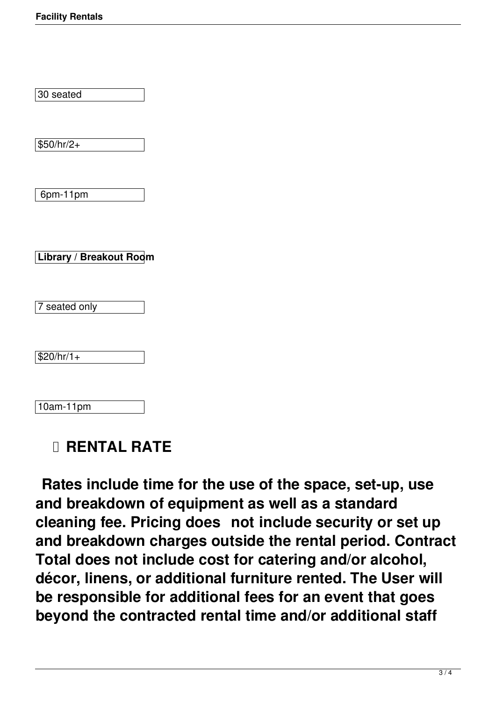30 seated

 $$50/hr/2+$ 

6pm-11pm

**Library / Breakout Room**

7 seated only

 $$20/hr/1+$ 

10am-11pm

## **RENTAL RATE**

 **Rates include time for the use of the space, set-up, use and breakdown of equipment as well as a standard cleaning fee. Pricing does not include security or set up and breakdown charges outside the rental period. Contract Total does not include cost for catering and/or alcohol, décor, linens, or additional furniture rented. The User will be responsible for additional fees for an event that goes beyond the contracted rental time and/or additional staff**